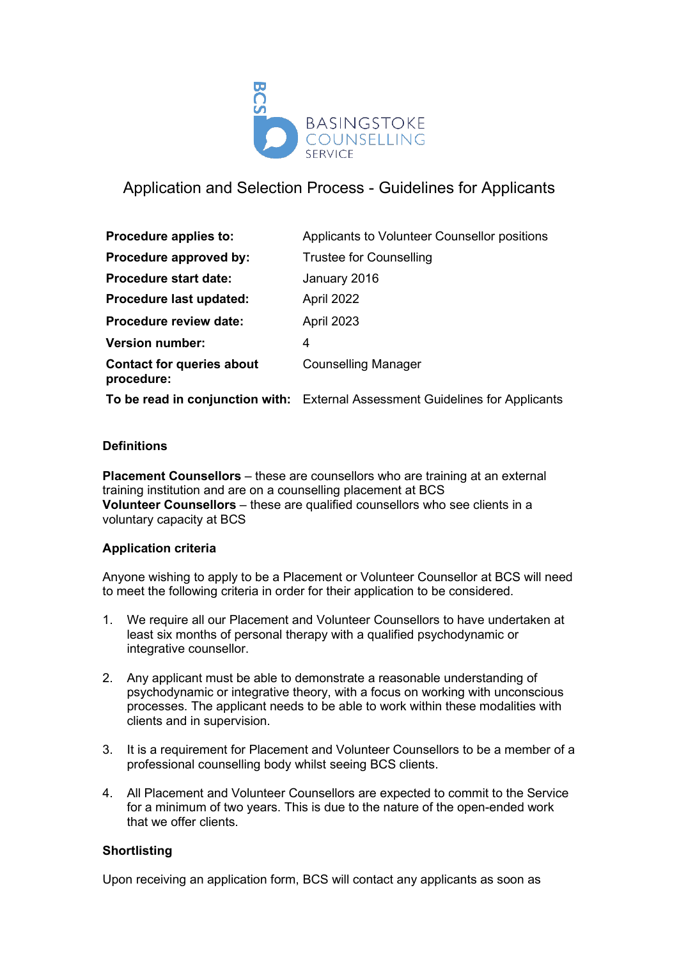

# Application and Selection Process - Guidelines for Applicants

| Procedure applies to:                          | Applicants to Volunteer Counsellor positions                                  |
|------------------------------------------------|-------------------------------------------------------------------------------|
| Procedure approved by:                         | <b>Trustee for Counselling</b>                                                |
| <b>Procedure start date:</b>                   | January 2016                                                                  |
| Procedure last updated:                        | April 2022                                                                    |
| <b>Procedure review date:</b>                  | April 2023                                                                    |
| <b>Version number:</b>                         | 4                                                                             |
| <b>Contact for queries about</b><br>procedure: | <b>Counselling Manager</b>                                                    |
|                                                | To be read in conjunction with: External Assessment Guidelines for Applicants |

## **Definitions**

**Placement Counsellors** – these are counsellors who are training at an external training institution and are on a counselling placement at BCS **Volunteer Counsellors** – these are qualified counsellors who see clients in a voluntary capacity at BCS

## **Application criteria**

Anyone wishing to apply to be a Placement or Volunteer Counsellor at BCS will need to meet the following criteria in order for their application to be considered.

- 1. We require all our Placement and Volunteer Counsellors to have undertaken at least six months of personal therapy with a qualified psychodynamic or integrative counsellor.
- 2. Any applicant must be able to demonstrate a reasonable understanding of psychodynamic or integrative theory, with a focus on working with unconscious processes. The applicant needs to be able to work within these modalities with clients and in supervision.
- 3. It is a requirement for Placement and Volunteer Counsellors to be a member of a professional counselling body whilst seeing BCS clients.
- 4. All Placement and Volunteer Counsellors are expected to commit to the Service for a minimum of two years. This is due to the nature of the open-ended work that we offer clients.

## **Shortlisting**

Upon receiving an application form, BCS will contact any applicants as soon as